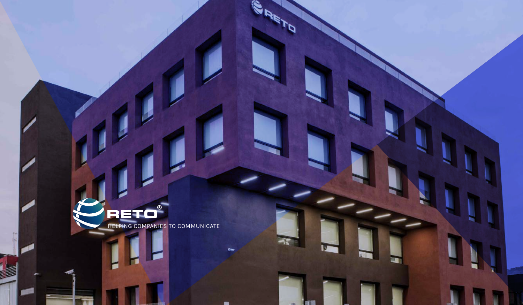RETO HELPING COMPANIES TO COMMUNICATE

 $\circledR$ 

**RANTING** 

 $\frac{1}{\sqrt{2}}$ 

0 og 198

**BR**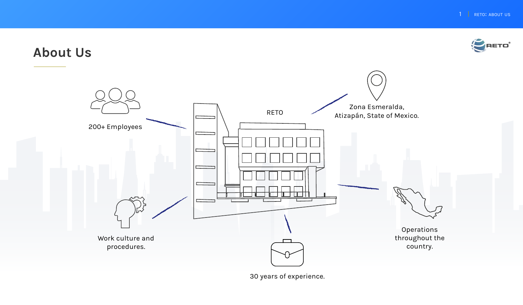

# **About Us**



30 years of experience.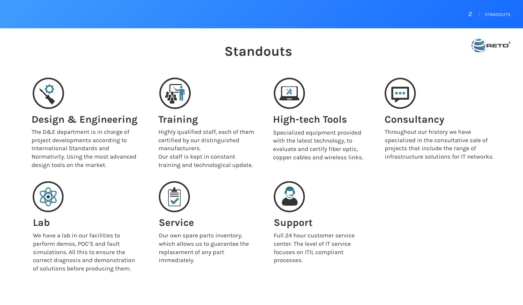# **Standouts**





### **Design & Engineering**

The D&E department is in charge of project developments according to International Standards and Normativity. Using the most advanced design tools on the market.



#### **Lab**

We have a lab in our facilities to perform demos, POC'S and fault simulations. All this to ensure the correct diagnosis and demonstration of solutions before producing them.



## **Training**

Highly qualified staff, each of them certified by our distinguished manufacturers. Our staff is kept in constant training and technological update.



#### **High-tech Tools**

Specialized equipment provided with the latest technology, to evaluate and certify fiber optic, copper cables and wireless links.



#### **Consultancy**

Throughout our history we have specialized in the consultative sale of projects that include the range of infrastructure solutions for IT networks.

#### **Service**

Our own spare parts inventory, which allows us to guarantee the replacement of any part immediately.



#### **Support**

Full 24 hour customer service center. The level of IT service focuses on ITIL compliant processes.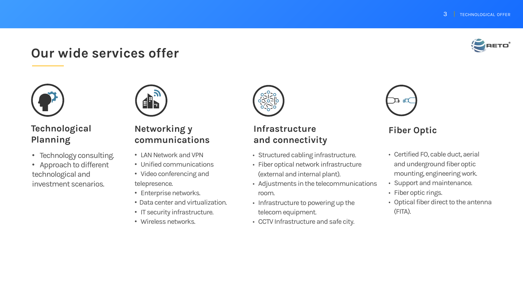# **Our wide services offer**



#### **Technological Planning**

- Technology consulting.
- Approach to different technological and investment scenarios.



#### **Networking y communications**

- LAN Network and VPN
- Unified communications
- Video conferencing and telepresence.
- Enterprise networks.
- Data center and virtualization.
- IT security infrastructure.
- Wireless networks.



#### **Infrastructure and connectivity**

- Structured cabling infrastructure.
- Fiber optical network infrastructure (external and internal plant).
- Adjustments in the telecommunications room.
- Infrastructure to powering up the telecom equipment.
- CCTV Infrastructure and safe city.



#### **Fiber Optic**

- Certified FO, cable duct, aerial and underground fiber optic mounting, engineering work.
- Support and maintenance.
- Fiber optic rings.
- Optical fiber direct to the antenna (FITA).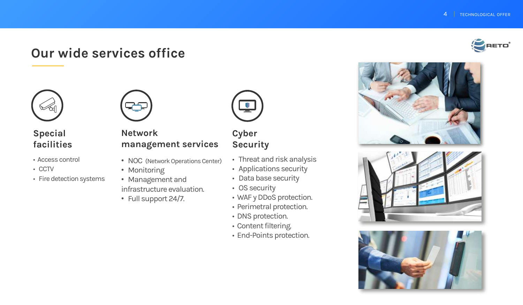# **Our wide services office**



#### **Special facilities**

- Access control
- CCTV
- Fire detection systems



#### **Network management services**

- NOC (Network Operations Center)
- Monitoring
- Management and infrastructure evaluation.
- Full support 24/7.



**Cyber Security**

- Threat and risk analysis
- Applications security
- Data base security
- OS security
- WAF y DDoS protection.
- Perimetral protection.
- DNS protection.
- Content filtering.
- End-Points protection.







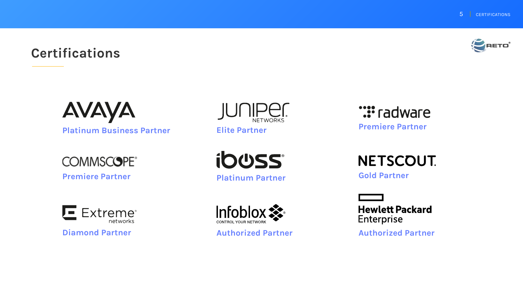# **Certifications**



AVAYA

**Platinum Business Partner**

**COMMSCOPE®** 

**Premiere Partner**



**Elite Partner**

**ibuss Platinum Partner Gold Partner** 



**Authorized Partner Authorized Partner**

**:::** radware

**Premiere Partner**

**NETSCOUT.** 

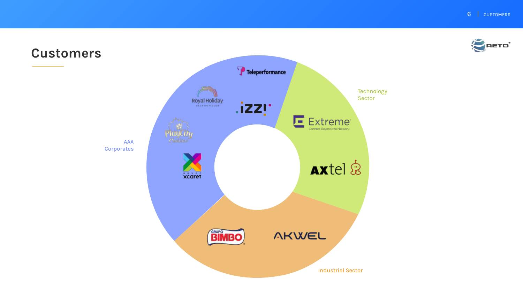**6 | CUSTOMERS** 

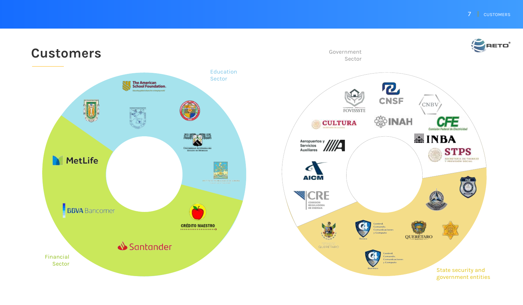